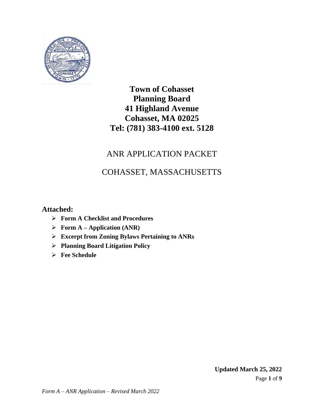

# ANR APPLICATION PACKET

# COHASSET, MASSACHUSETTS

## **Attached:**

- ➢ **Form A Checklist and Procedures**
- ➢ **Form A – Application (ANR)**
- ➢ **Excerpt from Zoning Bylaws Pertaining to ANRs**
- ➢ **Planning Board Litigation Policy**
- ➢ **Fee Schedule**

Page **1** of **9 Updated March 25, 2022**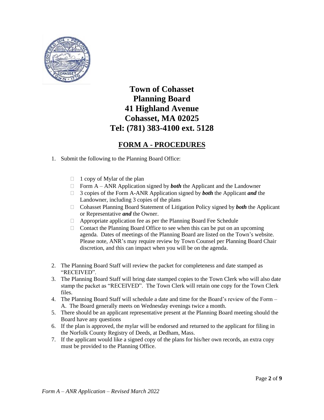

## **FORM A - PROCEDURES**

- 1. Submit the following to the Planning Board Office:
	- $\Box$  1 copy of Mylar of the plan
	- Form  $A ANR$  Application signed by *both* the Applicant and the Landowner
	- 3 copies of the Form A-ANR Application signed by *both* the Applicant *and* the Landowner, including 3 copies of the plans
	- Cohasset Planning Board Statement of Litigation Policy signed by *both* the Applicant or Representative *and* the Owner.
	- Appropriate application fee as per the Planning Board Fee Schedule
	- $\Box$  Contact the Planning Board Office to see when this can be put on an upcoming agenda. Dates of meetings of the Planning Board are listed on the Town's website. Please note, ANR's may require review by Town Counsel per Planning Board Chair discretion, and this can impact when you will be on the agenda.
- 2. The Planning Board Staff will review the packet for completeness and date stamped as "RECEIVED".
- 3. The Planning Board Staff will bring date stamped copies to the Town Clerk who will also date stamp the packet as "RECEIVED". The Town Clerk will retain one copy for the Town Clerk files.
- 4. The Planning Board Staff will schedule a date and time for the Board's review of the Form A. The Board generally meets on Wednesday evenings twice a month.
- 5. There should be an applicant representative present at the Planning Board meeting should the Board have any questions
- 6. If the plan is approved, the mylar will be endorsed and returned to the applicant for filing in the Norfolk County Registry of Deeds, at Dedham, Mass.
- 7. If the applicant would like a signed copy of the plans for his/her own records, an extra copy must be provided to the Planning Office.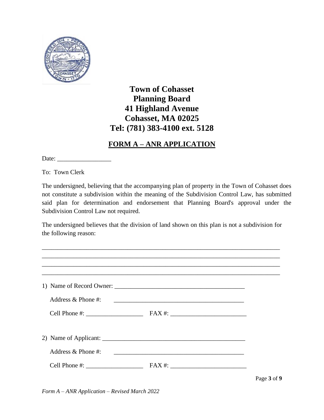

## **FORM A – ANR APPLICATION**

Date: \_\_\_\_\_\_\_\_\_\_\_\_\_\_\_\_\_

To: Town Clerk

The undersigned, believing that the accompanying plan of property in the Town of Cohasset does not constitute a subdivision within the meaning of the Subdivision Control Law, has submitted said plan for determination and endorsement that Planning Board's approval under the Subdivision Control Law not required.

The undersigned believes that the division of land shown on this plan is not a subdivision for the following reason:

\_\_\_\_\_\_\_\_\_\_\_\_\_\_\_\_\_\_\_\_\_\_\_\_\_\_\_\_\_\_\_\_\_\_\_\_\_\_\_\_\_\_\_\_\_\_\_\_\_\_\_\_\_\_\_\_\_\_\_\_\_\_\_\_\_\_\_\_\_\_\_\_\_\_\_

| Address $\&$ Phone #:                        |                                                                                                                       |             |
|----------------------------------------------|-----------------------------------------------------------------------------------------------------------------------|-------------|
|                                              | <u> 1980 - Andrea Andrea Andrea Andrea Andrea Andrea Andrea Andrea Andrea Andrea Andrea Andrea Andrea Andrea Andr</u> |             |
|                                              |                                                                                                                       |             |
| Address $\&$ Phone #:<br>$Cell$ Phone $\#$ : |                                                                                                                       |             |
|                                              |                                                                                                                       | Page 3 of 9 |

*Form A – ANR Application – Revised March 2022*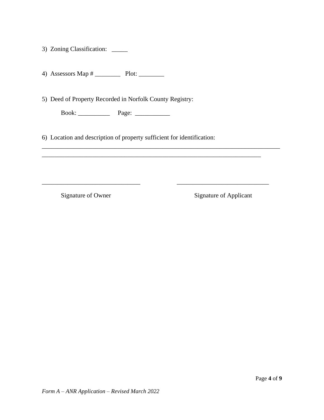3) Zoning Classification: \_\_\_\_\_

4) Assessors Map # \_\_\_\_\_\_\_\_\_\_\_ Plot: \_\_\_\_\_\_\_\_\_

5) Deed of Property Recorded in Norfolk County Registry:

Book: \_\_\_\_\_\_\_\_\_\_ Page: \_\_\_\_\_\_\_\_\_\_\_

6) Location and description of property sufficient for identification:

\_\_\_\_\_\_\_\_\_\_\_\_\_\_\_\_\_\_\_\_\_\_\_\_\_\_\_\_\_\_\_\_\_\_\_\_\_\_\_\_\_\_\_\_\_\_\_\_\_\_\_\_\_\_\_\_\_\_\_\_\_\_\_\_\_\_\_\_\_\_\_\_\_\_\_

\_\_\_\_\_\_\_\_\_\_\_\_\_\_\_\_\_\_\_\_\_\_\_\_\_\_\_\_\_\_\_\_\_\_\_\_\_\_\_\_\_\_\_\_\_\_\_\_\_\_\_\_\_\_\_\_\_\_\_\_\_\_\_\_\_\_\_\_\_

\_\_\_\_\_\_\_\_\_\_\_\_\_\_\_\_\_\_\_\_\_\_\_\_\_\_\_\_\_\_\_ \_\_\_\_\_\_\_\_\_\_\_\_\_\_\_\_\_\_\_\_\_\_\_\_\_\_\_\_\_

Signature of Owner Signature of Applicant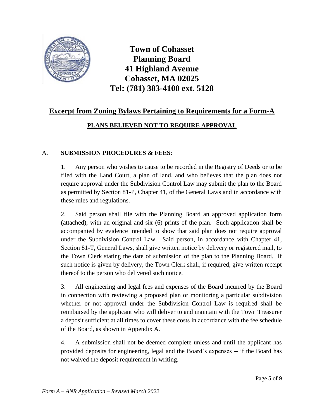

## **Excerpt from Zoning Bylaws Pertaining to Requirements for a Form-A**

## **PLANS BELIEVED NOT TO REQUIRE APPROVAL**

### A. **SUBMISSION PROCEDURES & FEES**:

1. Any person who wishes to cause to be recorded in the Registry of Deeds or to be filed with the Land Court, a plan of land, and who believes that the plan does not require approval under the Subdivision Control Law may submit the plan to the Board as permitted by Section 81-P, Chapter 41, of the General Laws and in accordance with these rules and regulations.

2. Said person shall file with the Planning Board an approved application form (attached), with an original and six (6) prints of the plan. Such application shall be accompanied by evidence intended to show that said plan does not require approval under the Subdivision Control Law. Said person, in accordance with Chapter 41, Section 81-T, General Laws, shall give written notice by delivery or registered mail, to the Town Clerk stating the date of submission of the plan to the Planning Board. If such notice is given by delivery, the Town Clerk shall, if required, give written receipt thereof to the person who delivered such notice.

3. All engineering and legal fees and expenses of the Board incurred by the Board in connection with reviewing a proposed plan or monitoring a particular subdivision whether or not approval under the Subdivision Control Law is required shall be reimbursed by the applicant who will deliver to and maintain with the Town Treasurer a deposit sufficient at all times to cover these costs in accordance with the fee schedule of the Board, as shown in Appendix A.

4. A submission shall not be deemed complete unless and until the applicant has provided deposits for engineering, legal and the Board's expenses -- if the Board has not waived the deposit requirement in writing.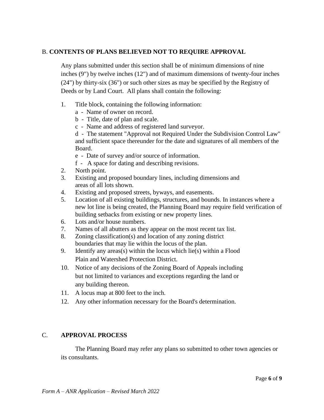#### B. **CONTENTS OF PLANS BELIEVED NOT TO REQUIRE APPROVAL**

Any plans submitted under this section shall be of minimum dimensions of nine inches (9") by twelve inches (12") and of maximum dimensions of twenty-four inches (24") by thirty-six (36") or such other sizes as may be specified by the Registry of Deeds or by Land Court. All plans shall contain the following:

- 1. Title block, containing the following information:
	- a Name of owner on record.
	- b Title, date of plan and scale.
	- c Name and address of registered land surveyor.

d - The statement "Approval not Required Under the Subdivision Control Law" and sufficient space thereunder for the date and signatures of all members of the Board.

- e Date of survey and/or source of information.
- f A space for dating and describing revisions.
- 2. North point.
- 3. Existing and proposed boundary lines, including dimensions and areas of all lots shown.
- 4. Existing and proposed streets, byways, and easements.
- 5. Location of all existing buildings, structures, and bounds. In instances where a new lot line is being created, the Planning Board may require field verification of building setbacks from existing or new property lines.
- 6. Lots and/or house numbers.
- 7. Names of all abutters as they appear on the most recent tax list.
- 8. Zoning classification(s) and location of any zoning district boundaries that may lie within the locus of the plan.
- 9. Identify any areas(s) within the locus which lie(s) within a Flood Plain and Watershed Protection District.
- 10. Notice of any decisions of the Zoning Board of Appeals including but not limited to variances and exceptions regarding the land or any building thereon.
- 11. A locus map at 800 feet to the inch.
- 12. Any other information necessary for the Board's determination.

### C. **APPROVAL PROCESS**

The Planning Board may refer any plans so submitted to other town agencies or its consultants.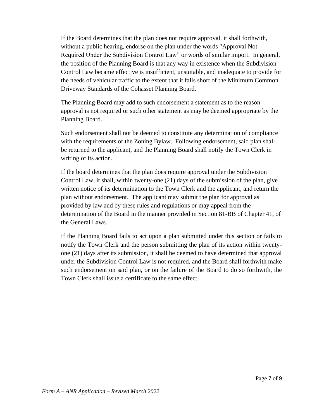If the Board determines that the plan does not require approval, it shall forthwith, without a public hearing, endorse on the plan under the words "Approval Not Required Under the Subdivision Control Law" or words of similar import. In general, the position of the Planning Board is that any way in existence when the Subdivision Control Law became effective is insufficient, unsuitable, and inadequate to provide for the needs of vehicular traffic to the extent that it falls short of the Minimum Common Driveway Standards of the Cohasset Planning Board.

The Planning Board may add to such endorsement a statement as to the reason approval is not required or such other statement as may be deemed appropriate by the Planning Board.

Such endorsement shall not be deemed to constitute any determination of compliance with the requirements of the Zoning Bylaw. Following endorsement, said plan shall be returned to the applicant, and the Planning Board shall notify the Town Clerk in writing of its action.

If the board determines that the plan does require approval under the Subdivision Control Law, it shall, within twenty-one (21) days of the submission of the plan, give written notice of its determination to the Town Clerk and the applicant, and return the plan without endorsement. The applicant may submit the plan for approval as provided by law and by these rules and regulations or may appeal from the determination of the Board in the manner provided in Section 81-BB of Chapter 41, of the General Laws.

If the Planning Board fails to act upon a plan submitted under this section or fails to notify the Town Clerk and the person submitting the plan of its action within twentyone (21) days after its submission, it shall be deemed to have determined that approval under the Subdivision Control Law is not required, and the Board shall forthwith make such endorsement on said plan, or on the failure of the Board to do so forthwith, the Town Clerk shall issue a certificate to the same effect.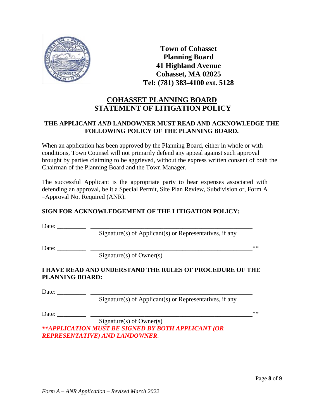

## **COHASSET PLANNING BOARD STATEMENT OF LITIGATION POLICY**

### **THE APPLICANT** *AND* **LANDOWNER MUST READ AND ACKNOWLEDGE THE FOLLOWING POLICY OF THE PLANNING BOARD.**

When an application has been approved by the Planning Board, either in whole or with conditions, Town Counsel will not primarily defend any appeal against such approval brought by parties claiming to be aggrieved, without the express written consent of both the Chairman of the Planning Board and the Town Manager.

The successful Applicant is the appropriate party to bear expenses associated with defending an approval, be it a Special Permit, Site Plan Review, Subdivision or, Form A –Approval Not Required (ANR).

### **SIGN FOR ACKNOWLEDGEMENT OF THE LITIGATION POLICY:**

Date: \_\_\_\_\_\_\_\_\_ \_\_\_\_\_\_\_\_\_\_\_\_\_\_\_\_\_\_\_\_\_\_\_\_\_\_\_\_\_\_\_\_\_\_\_\_\_\_\_\_\_\_\_\_\_\_\_\_\_\_\_

 $Signature(s)$  of Applicant(s) or Representatives, if any

Date: \_\_\_\_\_\_\_\_\_ \_\_\_\_\_\_\_\_\_\_\_\_\_\_\_\_\_\_\_\_\_\_\_\_\_\_\_\_\_\_\_\_\_\_\_\_\_\_\_\_\_\_\_\_\_\_\_\_\_\_\_\*\*

Signature(s) of Owner(s)

### **I HAVE READ AND UNDERSTAND THE RULES OF PROCEDURE OF THE PLANNING BOARD:**

Date:

Signature(s) of Applicant(s) or Representatives, if any

Date: \_\_\_\_\_\_\_\_\_ \_\_\_\_\_\_\_\_\_\_\_\_\_\_\_\_\_\_\_\_\_\_\_\_\_\_\_\_\_\_\_\_\_\_\_\_\_\_\_\_\_\_\_\_\_\_\_\_\_\_\_\*\*

Signature(s) of Owner(s) *\*\*APPLICATION MUST BE SIGNED BY BOTH APPLICANT (OR REPRESENTATIVE) AND LANDOWNER*.